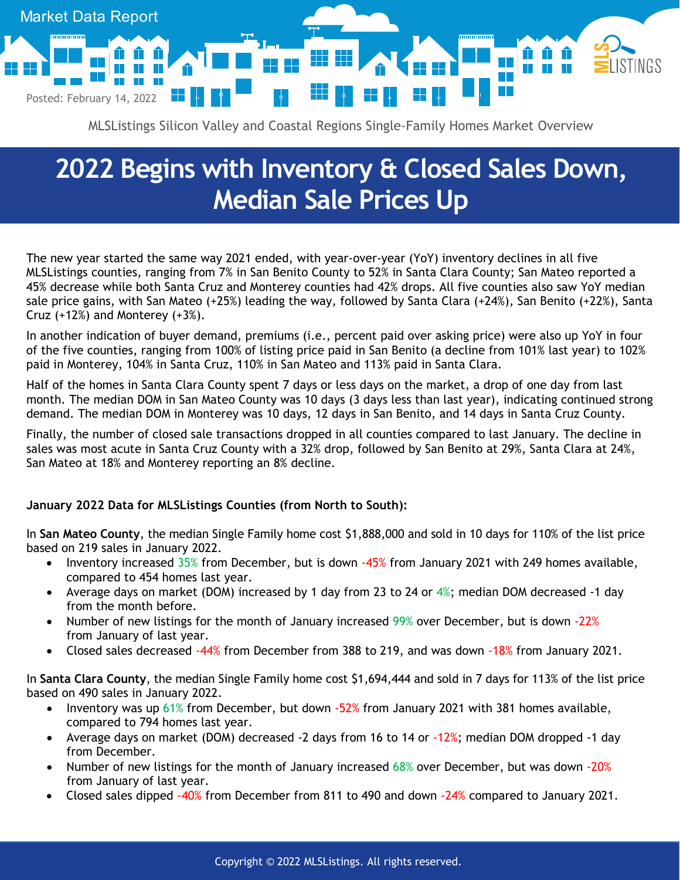

MLSListings Silicon Valley and Coastal Regions Single-Family Homes Market Overview

## **2022 Begins with Inventory & Closed Sales Down, Median Sale Prices Up**

The new year started the same way 2021 ended, with year-over-year (YoY) inventory declines in all five MLSListings counties, ranging from 7% in San Benito County to 52% in Santa Clara County; San Mateo reported a 45% decrease while both Santa Cruz and Monterey counties had 42% drops. All five counties also saw YoY median sale price gains, with San Mateo (+25%) leading the way, followed by Santa Clara (+24%), San Benito (+22%), Santa Cruz (+12%) and Monterey (+3%).

In another indication of buyer demand, premiums (i.e., percent paid over asking price) were also up YoY in four of the five counties, ranging from 100% of listing price paid in San Benito (a decline from 101% last year) to 102% paid in Monterey, 104% in Santa Cruz, 110% in San Mateo and 113% paid in Santa Clara.

Half of the homes in Santa Clara County spent 7 days or less days on the market, a drop of one day from last month. The median DOM in San Mateo County was 10 days (3 days less than last year), indicating continued strong demand. The median DOM in Monterey was 10 days, 12 days in San Benito, and 14 days in Santa Cruz County.

Finally, the number of closed sale transactions dropped in all counties compared to last January. The decline in sales was most acute in Santa Cruz County with a 32% drop, followed by San Benito at 29%, Santa Clara at 24%, San Mateo at 18% and Monterey reporting an 8% decline.

## **January 2022 Data for MLSListings Counties (from North to South):**

In **San Mateo County**, the median Single Family home cost \$1,888,000 and sold in 10 days for 110% of the list price based on 219 sales in January 2022.

- Inventory increased 35% from December, but is down -45% from January 2021 with 249 homes available, compared to 454 homes last year.
- Average days on market (DOM) increased by 1 day from 23 to 24 or 4%; median DOM decreased -1 day from the month before.
- Number of new listings for the month of January increased 99% over December, but is down -22% from January of last year.
- Closed sales decreased -44% from December from 388 to 219, and was down -18% from January 2021.

In **Santa Clara County**, the median Single Family home cost \$1,694,444 and sold in 7 days for 113% of the list price based on 490 sales in January 2022.

- Inventory was up 61% from December, but down -52% from January 2021 with 381 homes available, compared to 794 homes last year.
- Average days on market (DOM) decreased -2 days from 16 to 14 or -12%; median DOM dropped -1 day from December.
- Number of new listings for the month of January increased 68% over December, but was down -20% from January of last year.
- Closed sales dipped -40% from December from 811 to 490 and down -24% compared to January 2021.